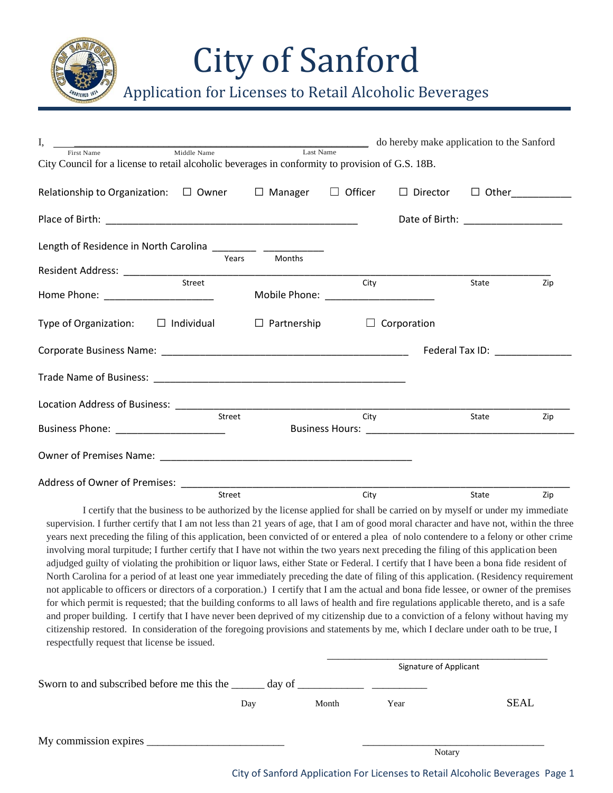

City of Sanford

Application for Licenses to Retail Alcoholic Beverages

| I,<br><u> 1989 - Jan Barnett, fransk politik (d. 1989)</u>                                                                                 |      | do hereby make application to the Sanford |                                  |     |
|--------------------------------------------------------------------------------------------------------------------------------------------|------|-------------------------------------------|----------------------------------|-----|
| Middle Name<br>Last Name<br>First Name<br>City Council for a license to retail alcoholic beverages in conformity to provision of G.S. 18B. |      |                                           |                                  |     |
| Relationship to Organization: $\Box$ Owner $\Box$ Manager $\Box$ Officer                                                                   |      | $\Box$ Director                           | $\Box$ Other                     |     |
|                                                                                                                                            |      | Date of Birth: ____________________       |                                  |     |
| Length of Residence in North Carolina ____________ _____________<br><b>Months</b><br>Years                                                 |      |                                           |                                  |     |
|                                                                                                                                            |      |                                           |                                  |     |
| Street<br>Home Phone: _____________________<br>Mobile Phone: _____________________                                                         | City |                                           | State                            | Zip |
| Type of Organization: $\Box$ Individual $\Box$ Partnership                                                                                 |      | $\Box$ Corporation                        |                                  |     |
|                                                                                                                                            |      |                                           | Federal Tax ID: National Tax ID: |     |
|                                                                                                                                            |      |                                           |                                  |     |
|                                                                                                                                            |      |                                           |                                  |     |
| Street<br>Business Phone: _______________________                                                                                          | City |                                           | State                            | Zip |
|                                                                                                                                            |      |                                           |                                  |     |
| Street                                                                                                                                     | City |                                           | State                            | Zip |

I certify that the business to be authorized by the license applied for shall be carried on by myself or under my immediate supervision. I further certify that I am not less than 21 years of age, that I am of good moral character and have not, within the three years next preceding the filing of this application, been convicted of or entered a plea of nolo contendere to a felony or other crime involving moral turpitude; I further certify that I have not within the two years next preceding the filing of this application been adjudged guilty of violating the prohibition or liquor laws, either State or Federal. I certify that I have been a bona fide resident of North Carolina for a period of at least one year immediately preceding the date of filing of this application. (Residency requirement not applicable to officers or directors of a corporation.) I certify that I am the actual and bona fide lessee, or owner of the premises for which permit is requested; that the building conforms to all laws of health and fire regulations applicable thereto, and is a safe and proper building. I certify that I have never been deprived of my citizenship due to a conviction of a felony without having my citizenship restored. In consideration of the foregoing provisions and statements by me, which I declare under oath to be true, I respectfully request that license be issued.

|                                                             |     |       | Signature of Applicant |             |  |
|-------------------------------------------------------------|-----|-------|------------------------|-------------|--|
| Sworn to and subscribed before me this the _______ day of _ |     |       |                        |             |  |
|                                                             | Day | Month | Year                   | <b>SEAL</b> |  |
|                                                             |     |       |                        |             |  |
|                                                             |     |       | Notary                 |             |  |